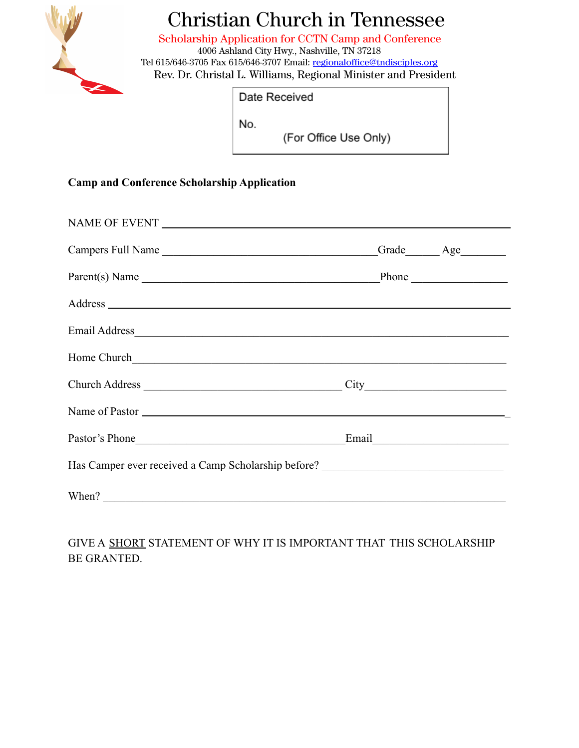

## Christian Church in Tennessee

Scholarship Application for CCTN Camp and Conference 4006 Ashland City Hwy., Nashville, TN 37218 Tel 615/646-3705 Fax 615/646-3707 Email: [regionaloffice@tndisciples.org](mailto:regionaloffice@tndisciples.org) Rev. Dr. Christal L. Williams, Regional Minister and President

Date Received

No.

(For Office Use Only)

## **Camp and Conference Scholarship Application**

| Campers Full Name                                                                 | Grade Age |
|-----------------------------------------------------------------------------------|-----------|
| Parent(s) Name                                                                    | Phone     |
|                                                                                   |           |
|                                                                                   |           |
| Home Church                                                                       |           |
| Church Address                                                                    |           |
| Name of Pastor                                                                    |           |
| Pastor's Phone Email Email                                                        |           |
| Has Camper ever received a Camp Scholarship before? _____________________________ |           |
| When?                                                                             |           |

GIVE A SHORT STATEMENT OF WHY IT IS IMPORTANT THAT THIS SCHOLARSHIP BE GRANTED.